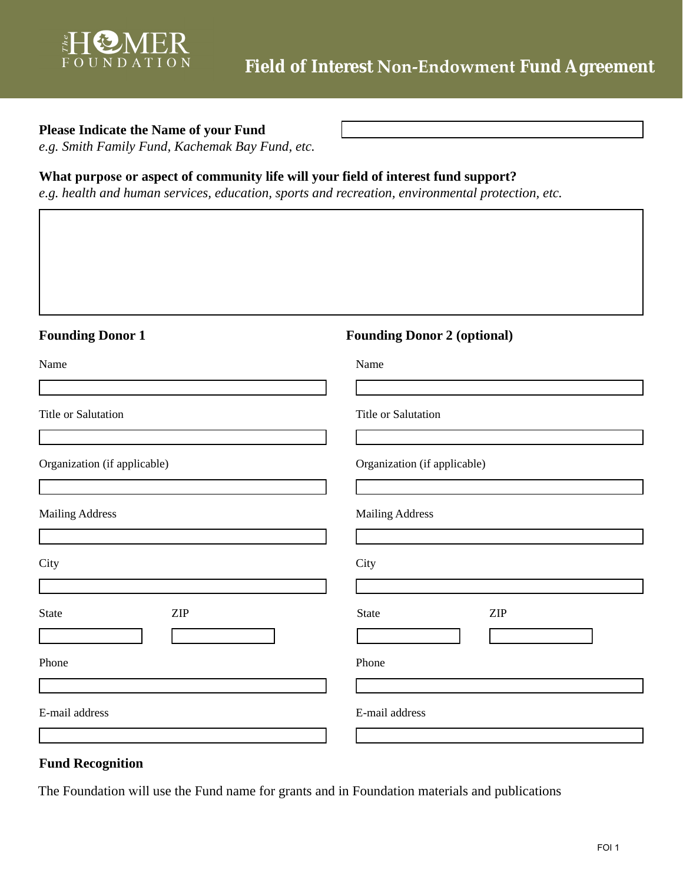

## **Please Indicate the Name of your Fund**

*e.g. Smith Family Fund, Kachemak Bay Fund, etc.*

# **What purpose or aspect of community life will your field of interest fund support?**

*e.g. health and human services, education, sports and recreation, environmental protection, etc.* 

| <b>Founding Donor 1</b>      | <b>Founding Donor 2 (optional)</b>          |
|------------------------------|---------------------------------------------|
| Name                         | Name                                        |
|                              |                                             |
| Title or Salutation          | Title or Salutation                         |
|                              |                                             |
| Organization (if applicable) | Organization (if applicable)                |
|                              |                                             |
| <b>Mailing Address</b>       | <b>Mailing Address</b>                      |
|                              |                                             |
| City                         | City                                        |
|                              |                                             |
| <b>ZIP</b><br><b>State</b>   | <b>State</b><br>$\ensuremath{\mathrm{ZIP}}$ |
|                              |                                             |
| Phone                        | Phone                                       |
|                              |                                             |
| E-mail address               | E-mail address                              |
|                              |                                             |

## **Fund Recognition**

The Foundation will use the Fund name for grants and in Foundation materials and publications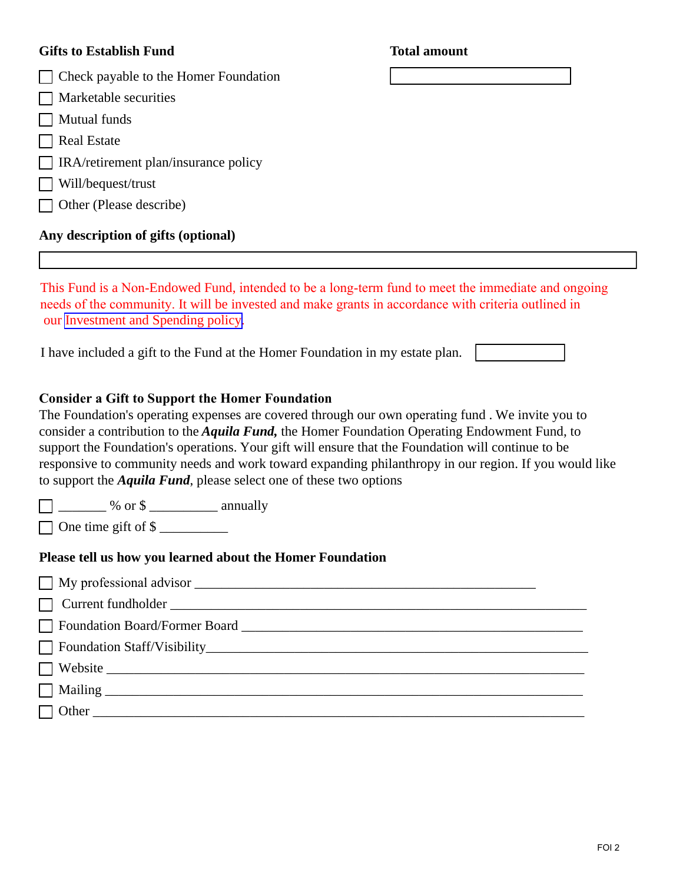| $\mathbb{R}^2$ |  |
|----------------|--|
| $\sim$         |  |
| Ľ              |  |
| h.             |  |
| r.             |  |

 $\boxed{\blacksquare}$ 

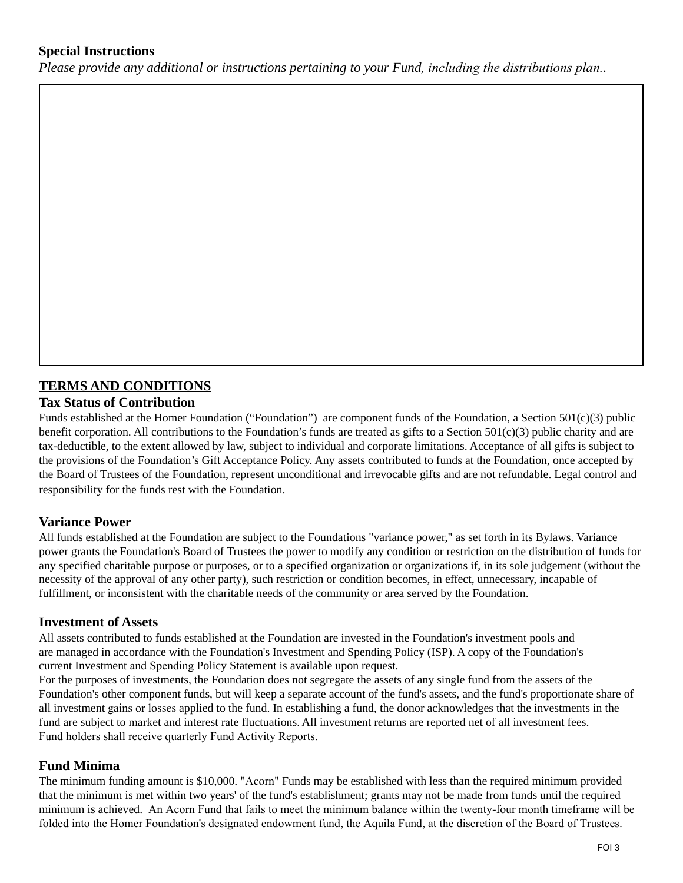## **Special Instructions**

*Please provide any additional or instructions pertaining to your Fund, including the distributions plan.* 

# **TERMS AND CONDITIONS**

## **Tax Status of Contribution**

Funds established at the Homer Foundation ("Foundation") are component funds of the Foundation, a Section 501(c)(3) public benefit corporation. All contributions to the Foundation's funds are treated as gifts to a Section 501(c)(3) public charity and are tax-deductible, to the extent allowed by law, subject to individual and corporate limitations. Acceptance of all gifts is subject to the provisions of the Foundation's Gift Acceptance Policy. Any assets contributed to funds at the Foundation, once accepted by the Board of Trustees of the Foundation, represent unconditional and irrevocable gifts and are not refundable. Legal control and responsibility for the funds rest with the Foundation.

## **Variance Power**

All funds established at the Foundation are subject to the Foundations "variance power," as set forth in its Bylaws. Variance power grants the Foundation's Board of Trustees the power to modify any condition or restriction on the distribution of funds for any specified charitable purpose or purposes, or to a specified organization or organizations if, in its sole judgement (without the necessity of the approval of any other party), such restriction or condition becomes, in effect, unnecessary, incapable of fulfillment, or inconsistent with the charitable needs of the community or area served by the Foundation.

## **Investment of Assets**

All assets contributed to funds established at the Foundation are invested in the Foundation's investment pools and are managed in accordance with the Foundation's Investment and Spending Polic  $L_H$ VA ( $dS$ F). cf the Foundation's current Investment and Spending Policy Statement is available upon request.

For the purposes of investments, the Foundation does not segregate the assets of any single fund from the assets of the Foundation's other component funds, but will keep a separate account of the fund's assets, and the fund's proportionate share of all investment gains or losses applied to the fund. In establishing a fund, the donor acknowledges that the investments in the fund are subject to market and interest rate fluctuations. All investment returns are reported net of all investment fees. Fund holders shall receive quarterly Fund Activity Reports.

## **Fund Minima**

The minimum funding amount is \$10,000. "Acorn" Funds may be established with less than the required minimum provided that the minimum is met within two years' of the fund's establishment; grants may not be made from funds until the required minimum is achieved. An Acorn Fund that fails to meet the minimum balance within the twenty-four month timeframe will be folded into the Homer Foundation's designated endowment fund, the Aquila Fund, at the discretion of the Board of Trustees.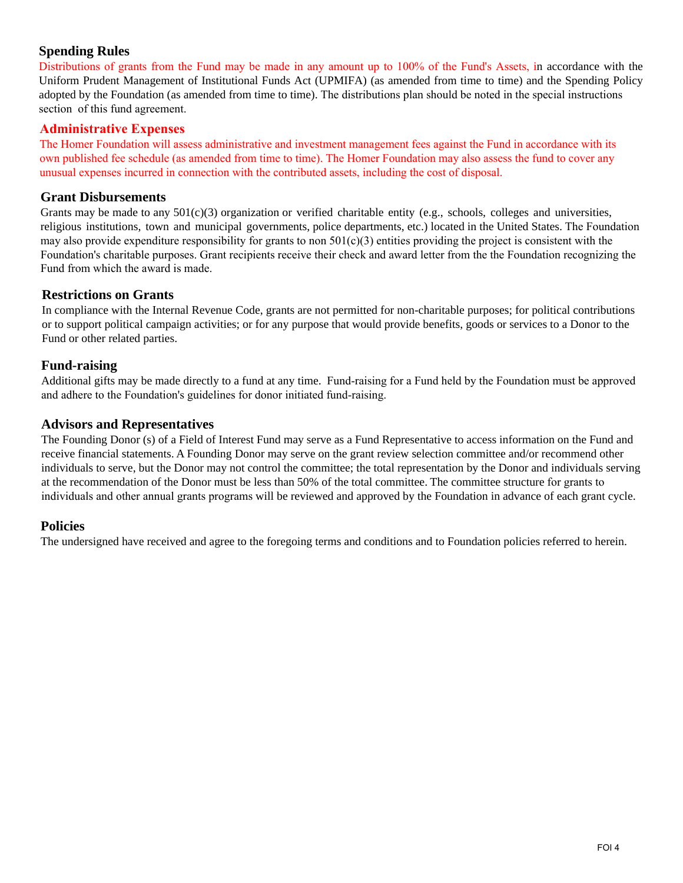## **Spending Rules**

Distributions of grants from the Fund may be made in any amount up to 100% of the Fund's Assets, in accordance with the Uniform Prudent Management of Institutional Funds Act (UPMIFA) (as amended from time to time) and the Spending Policy adopted by the Foundation (as amended from time to time). The distributions plan should be noted in the special instructions section of this fund agreement.

#### **Administrative Expenses**

The Homer Foundation will assess administrative and investment management fees against the Fund in accordance with its own published fee schedule (as amended from time to time). The Homer Foundation may also assess the fund to cover any unusual expenses incurred in connection with the contributed assets, including the cost of disposal.

#### **Grant Disbursements**

Grants may be made to any  $501(c)(3)$  organization or verified charitable entity (e.g., schools, colleges and universities, religious institutions, town and municipal governments, police departments, etc.) located in the United States. The Foundation may also provide expenditure responsibility for grants to non  $501(c)(3)$  entities providing the project is consistent with the Foundation's charitable purposes. Grant recipients receive their check and award letter from the the Foundation recognizing the Fund from which the award is made.

## **Restrictions on Grants**

In compliance with the Internal Revenue Code, grants are not permitted for non-charitable purposes; for political contributions or to support political campaign activities; or for any purpose that would provide benefits, goods or services to a Donor to the Fund or other related parties.

#### **Fund-raising**

Additional gifts may be made directly to a fund at any time. Fund-raising for a Fund held by the Foundation must be approved and adhere to the Foundation's guidelines for donor initiated fund-raising.

#### **Advisors and Representatives**

The Founding Donor (s) of a Field of Interest Fund may serve as a Fund Representative to access information on the Fund and receive financial statements. A Founding Donor may serve on the grant review selection committee and/or recommend other individuals to serve, but the Donor may not control the committee; the total representation by the Donor and individuals serving at the recommendation of the Donor must be less than 50% of the total committee. The committee structure for grants to individuals and other annual grants programs will be reviewed and approved by the Foundation in advance of each grant cycle.

#### **Policies**

The undersigned have received and agree to the foregoing terms and conditions and to Foundation policies referred to herein.